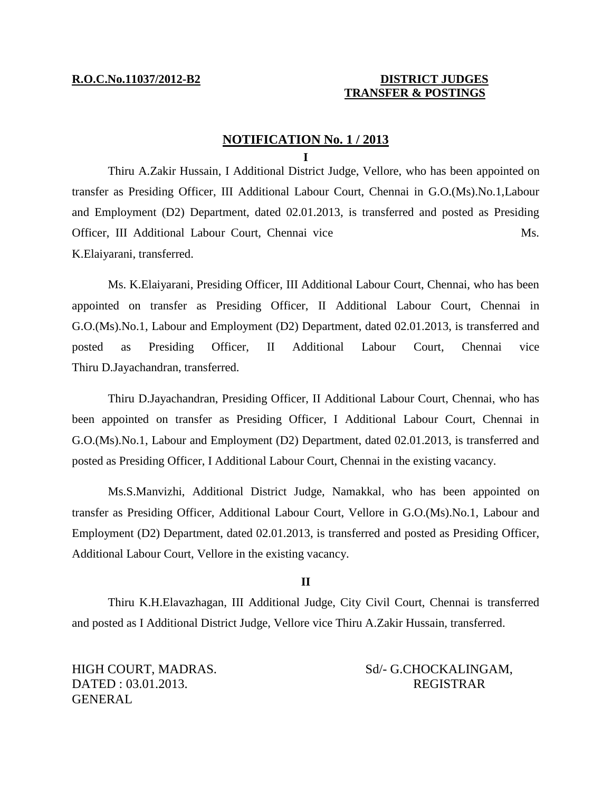# **R.O.C.No.11037/2012-B2 DISTRICT JUDGES TRANSFER & POSTINGS**

# **NOTIFICATION No. 1 / 2013**

### **I**

Thiru A.Zakir Hussain, I Additional District Judge, Vellore, who has been appointed on transfer as Presiding Officer, III Additional Labour Court, Chennai in G.O.(Ms).No.1,Labour and Employment (D2) Department, dated 02.01.2013, is transferred and posted as Presiding Officer, III Additional Labour Court, Chennai vice Ms. K.Elaiyarani, transferred.

Ms. K.Elaiyarani, Presiding Officer, III Additional Labour Court, Chennai, who has been appointed on transfer as Presiding Officer, II Additional Labour Court, Chennai in G.O.(Ms).No.1, Labour and Employment (D2) Department, dated 02.01.2013, is transferred and posted as Presiding Officer, II Additional Labour Court, Chennai vice Thiru D.Jayachandran, transferred.

Thiru D.Jayachandran, Presiding Officer, II Additional Labour Court, Chennai, who has been appointed on transfer as Presiding Officer, I Additional Labour Court, Chennai in G.O.(Ms).No.1, Labour and Employment (D2) Department, dated 02.01.2013, is transferred and posted as Presiding Officer, I Additional Labour Court, Chennai in the existing vacancy.

Ms.S.Manvizhi, Additional District Judge, Namakkal, who has been appointed on transfer as Presiding Officer, Additional Labour Court, Vellore in G.O.(Ms).No.1, Labour and Employment (D2) Department, dated 02.01.2013, is transferred and posted as Presiding Officer, Additional Labour Court, Vellore in the existing vacancy.

## **II**

Thiru K.H.Elavazhagan, III Additional Judge, City Civil Court, Chennai is transferred and posted as I Additional District Judge, Vellore vice Thiru A.Zakir Hussain, transferred.

DATED : 03.01.2013. REGISTRAR GENERAL

# HIGH COURT, MADRAS. Sd/- G.CHOCKALINGAM,